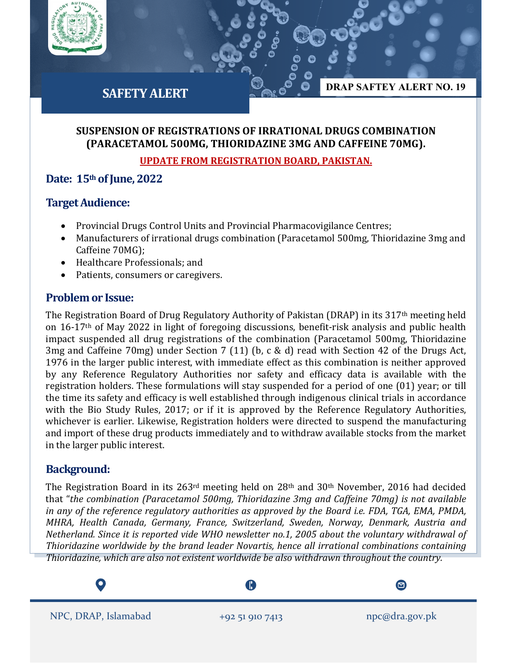

# **SAFETY ALERT**

## **SUSPENSION OF REGISTRATIONS OF IRRATIONAL DRUGS COMBINATION (PARACETAMOL 500MG, THIORIDAZINE 3MG AND CAFFEINE 70MG).**

#### **UPDATE FROM REGISTRATION BOARD, PAKISTAN.**

## **Date: 15th of June, 2022**

### **Target Audience:**

- Provincial Drugs Control Units and Provincial Pharmacovigilance Centres;
- Manufacturers of irrational drugs combination (Paracetamol 500mg, Thioridazine 3mg and Caffeine 70MG);
- Healthcare Professionals; and
- Patients, consumers or caregivers.

### **Problem or Issue:**

The Registration Board of Drug Regulatory Authority of Pakistan (DRAP) in its 317th meeting held on 16-17th of May 2022 in light of foregoing discussions, benefit-risk analysis and public health impact suspended all drug registrations of the combination (Paracetamol 500mg, Thioridazine 3mg and Caffeine 70mg) under Section 7 (11) (b, c & d) read with Section 42 of the Drugs Act, 1976 in the larger public interest, with immediate effect as this combination is neither approved by any Reference Regulatory Authorities nor safety and efficacy data is available with the registration holders. These formulations will stay suspended for a period of one (01) year; or till the time its safety and efficacy is well established through indigenous clinical trials in accordance with the Bio Study Rules, 2017; or if it is approved by the Reference Regulatory Authorities, whichever is earlier. Likewise, Registration holders were directed to suspend the manufacturing and import of these drug products immediately and to withdraw available stocks from the market in the larger public interest.

## **Background:**

The Registration Board in its 263<sup>rd</sup> meeting held on 28<sup>th</sup> and 30<sup>th</sup> November, 2016 had decided that "*the combination (Paracetamol 500mg, Thioridazine 3mg and Caffeine 70mg) is not available in any of the reference regulatory authorities as approved by the Board i.e. FDA, TGA, EMA, PMDA, MHRA, Health Canada, Germany, France, Switzerland, Sweden, Norway, Denmark, Austria and Netherland. Since it is reported vide WHO newsletter no.1, 2005 about the voluntary withdrawal of Thioridazine worldwide by the brand leader Novartis, hence all irrational combinations containing Thioridazine, which are also not existent worldwide be also withdrawn throughout the country.*

ß

 $\boldsymbol{\Xi}$ 

**DRAP SAFTEY ALERT NO. 19**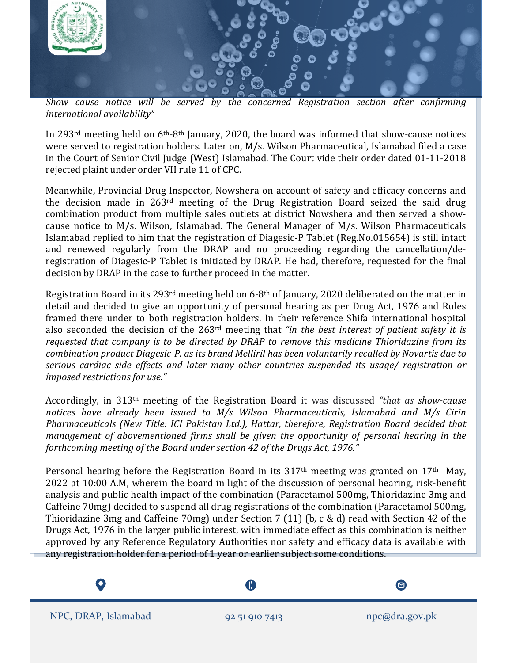

*Show cause notice will be served by the concerned Registration section after confirming international availability"*

In 293rd meeting held on 6th-8th January, 2020, the board was informed that show-cause notices were served to registration holders. Later on, M/s. Wilson Pharmaceutical, Islamabad filed a case in the Court of Senior Civil Judge (West) Islamabad. The Court vide their order dated 01-11-2018 rejected plaint under order VII rule 11 of CPC.

Meanwhile, Provincial Drug Inspector, Nowshera on account of safety and efficacy concerns and the decision made in 263rd meeting of the Drug Registration Board seized the said drug combination product from multiple sales outlets at district Nowshera and then served a showcause notice to M/s. Wilson, Islamabad. The General Manager of M/s. Wilson Pharmaceuticals Islamabad replied to him that the registration of Diagesic-P Tablet (Reg.No.015654) is still intact and renewed regularly from the DRAP and no proceeding regarding the cancellation/deregistration of Diagesic-P Tablet is initiated by DRAP. He had, therefore, requested for the final decision by DRAP in the case to further proceed in the matter.

Registration Board in its 293rd meeting held on 6-8th of January, 2020 deliberated on the matter in detail and decided to give an opportunity of personal hearing as per Drug Act, 1976 and Rules framed there under to both registration holders. In their reference Shifa international hospital also seconded the decision of the 263rd meeting that *"in the best interest of patient safety it is requested that company is to be directed by DRAP to remove this medicine Thioridazine from its combination product Diagesic-P. as its brand Melliril has been voluntarily recalled by Novartis due to serious cardiac side effects and later many other countries suspended its usage/ registration or imposed restrictions for use."*

Accordingly, in 313th meeting of the Registration Board it was discussed *"that as show-cause notices have already been issued to M/s Wilson Pharmaceuticals, Islamabad and M/s Cirin Pharmaceuticals (New Title: ICI Pakistan Ltd.), Hattar, therefore, Registration Board decided that management of abovementioned firms shall be given the opportunity of personal hearing in the forthcoming meeting of the Board under section 42 of the Drugs Act, 1976."*

Personal hearing before the Registration Board in its  $317<sup>th</sup>$  meeting was granted on  $17<sup>th</sup>$  May, 2022 at 10:00 A.M, wherein the board in light of the discussion of personal hearing, risk-benefit analysis and public health impact of the combination (Paracetamol 500mg, Thioridazine 3mg and Caffeine 70mg) decided to suspend all drug registrations of the combination (Paracetamol 500mg, Thioridazine 3mg and Caffeine 70mg) under Section 7 (11) (b, c & d) read with Section 42 of the Drugs Act, 1976 in the larger public interest, with immediate effect as this combination is neither approved by any Reference Regulatory Authorities nor safety and efficacy data is available with any registration holder for a period of 1 year or earlier subject some conditions.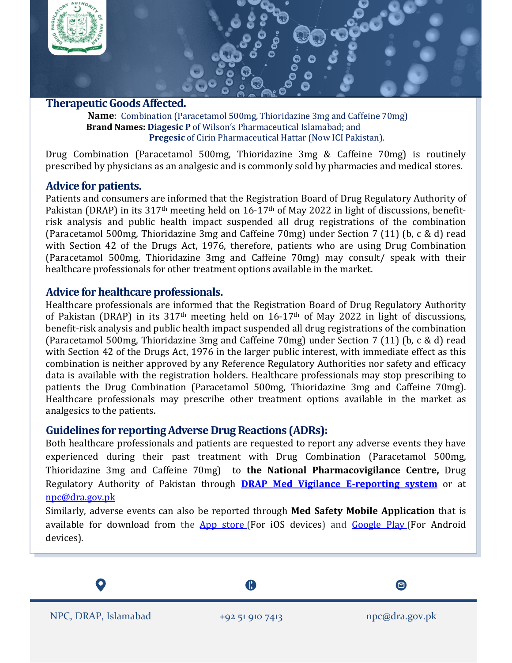

**Therapeutic GoodsAffected.**

 **Name**: Combination (Paracetamol 500mg, Thioridazine 3mg and Caffeine 70mg)  **Brand Names: Diagesic P** of Wilson's Pharmaceutical Islamabad; and **Pregesic** of Cirin Pharmaceutical Hattar (Now ICI Pakistan).

Drug Combination (Paracetamol 500mg, Thioridazine 3mg & Caffeine 70mg) is routinely prescribed by physicians as an analgesic and is commonly sold by pharmacies and medical stores.

### **Advice for patients.**

Patients and consumers are informed that the Registration Board of Drug Regulatory Authority of Pakistan (DRAP) in its 317<sup>th</sup> meeting held on 16-17<sup>th</sup> of May 2022 in light of discussions, benefitrisk analysis and public health impact suspended all drug registrations of the combination (Paracetamol 500mg, Thioridazine 3mg and Caffeine 70mg) under Section 7 (11) (b, c & d) read with Section 42 of the Drugs Act, 1976, therefore, patients who are using Drug Combination (Paracetamol 500mg, Thioridazine 3mg and Caffeine 70mg) may consult/ speak with their healthcare professionals for other treatment options available in the market.

#### **Advice for healthcare professionals.**

Healthcare professionals are informed that the Registration Board of Drug Regulatory Authority of Pakistan (DRAP) in its  $317<sup>th</sup>$  meeting held on  $16-17<sup>th</sup>$  of May 2022 in light of discussions, benefit-risk analysis and public health impact suspended all drug registrations of the combination (Paracetamol 500mg, Thioridazine 3mg and Caffeine 70mg) under Section 7 (11) (b, c & d) read with Section 42 of the Drugs Act, 1976 in the larger public interest, with immediate effect as this combination is neither approved by any Reference Regulatory Authorities nor safety and efficacy data is available with the registration holders. Healthcare professionals may stop prescribing to patients the Drug Combination (Paracetamol 500mg, Thioridazine 3mg and Caffeine 70mg). Healthcare professionals may prescribe other treatment options available in the market as analgesics to the patients.

## **Guidelines for reporting Adverse Drug Reactions (ADRs):**

Both healthcare professionals and patients are requested to report any adverse events they have experienced during their past treatment with Drug Combination (Paracetamol 500mg, Thioridazine 3mg and Caffeine 70mg) to **the National Pharmacovigilance Centre,** Drug Regulatory Authority of Pakistan through **[DRAP Med Vigilance E-reporting system](https://primaryreporting.who-umc.org/PK)** or at [npc@dra.gov.pk](mailto:npc@dra.gov.pk)

Similarly, adverse events can also be reported through **Med Safety Mobile Application** that is available for download from the App [store](https://itunes.apple.com/gb/app/web-radr-sav/id1439060917?mt=8) (For iOS devices) and [Google](https://play.google.com/store/apps/details?id=com.epidemico.webradr&hl=en&gl=US) Play (For Android devices).

A

 $\boldsymbol{\Xi}$